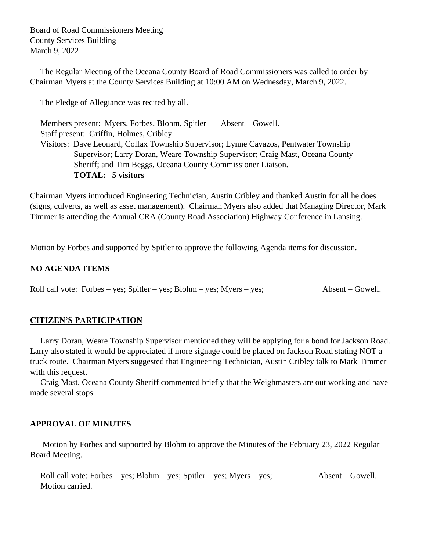Board of Road Commissioners Meeting County Services Building March 9, 2022

 The Regular Meeting of the Oceana County Board of Road Commissioners was called to order by Chairman Myers at the County Services Building at 10:00 AM on Wednesday, March 9, 2022.

The Pledge of Allegiance was recited by all.

Members present: Myers, Forbes, Blohm, Spitler Absent – Gowell. Staff present: Griffin, Holmes, Cribley. Visitors: Dave Leonard, Colfax Township Supervisor; Lynne Cavazos, Pentwater Township Supervisor; Larry Doran, Weare Township Supervisor; Craig Mast, Oceana County Sheriff; and Tim Beggs, Oceana County Commissioner Liaison. **TOTAL: 5 visitors**

Chairman Myers introduced Engineering Technician, Austin Cribley and thanked Austin for all he does (signs, culverts, as well as asset management). Chairman Myers also added that Managing Director, Mark Timmer is attending the Annual CRA (County Road Association) Highway Conference in Lansing.

Motion by Forbes and supported by Spitler to approve the following Agenda items for discussion.

### **NO AGENDA ITEMS**

Roll call vote: Forbes – yes; Spitler – yes; Blohm – yes; Myers – yes; Absent – Gowell.

#### **CITIZEN'S PARTICIPATION**

 Larry Doran, Weare Township Supervisor mentioned they will be applying for a bond for Jackson Road. Larry also stated it would be appreciated if more signage could be placed on Jackson Road stating NOT a truck route. Chairman Myers suggested that Engineering Technician, Austin Cribley talk to Mark Timmer with this request.

 Craig Mast, Oceana County Sheriff commented briefly that the Weighmasters are out working and have made several stops.

#### **APPROVAL OF MINUTES**

Motion by Forbes and supported by Blohm to approve the Minutes of the February 23, 2022 Regular Board Meeting.

 Roll call vote: Forbes – yes; Blohm – yes; Spitler – yes; Myers – yes; Absent – Gowell. Motion carried.